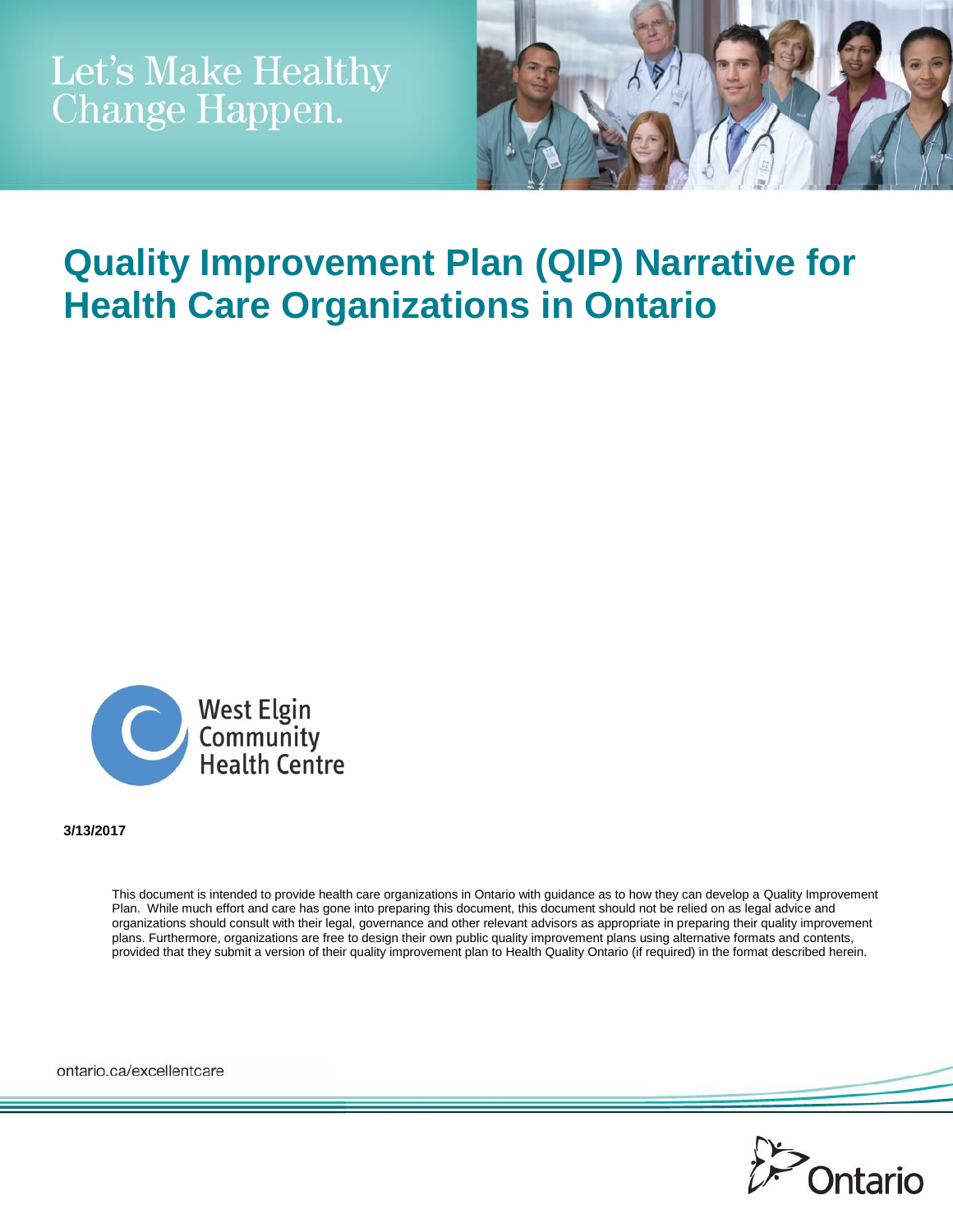

# **Quality Improvement Plan (QIP) Narrative for Health Care Organizations in Ontario**



**3/13/2017**

This document is intended to provide health care organizations in Ontario with guidance as to how they can develop a Quality Improvement Plan. While much effort and care has gone into preparing this document, this document should not be relied on as legal advice and organizations should consult with their legal, governance and other relevant advisors as appropriate in preparing their quality improvement plans. Furthermore, organizations are free to design their own public quality improvement plans using alternative formats and contents, provided that they submit a version of their quality improvement plan to Health Quality Ontario (if required) in the format described herein.

ontario.ca/excellentcare

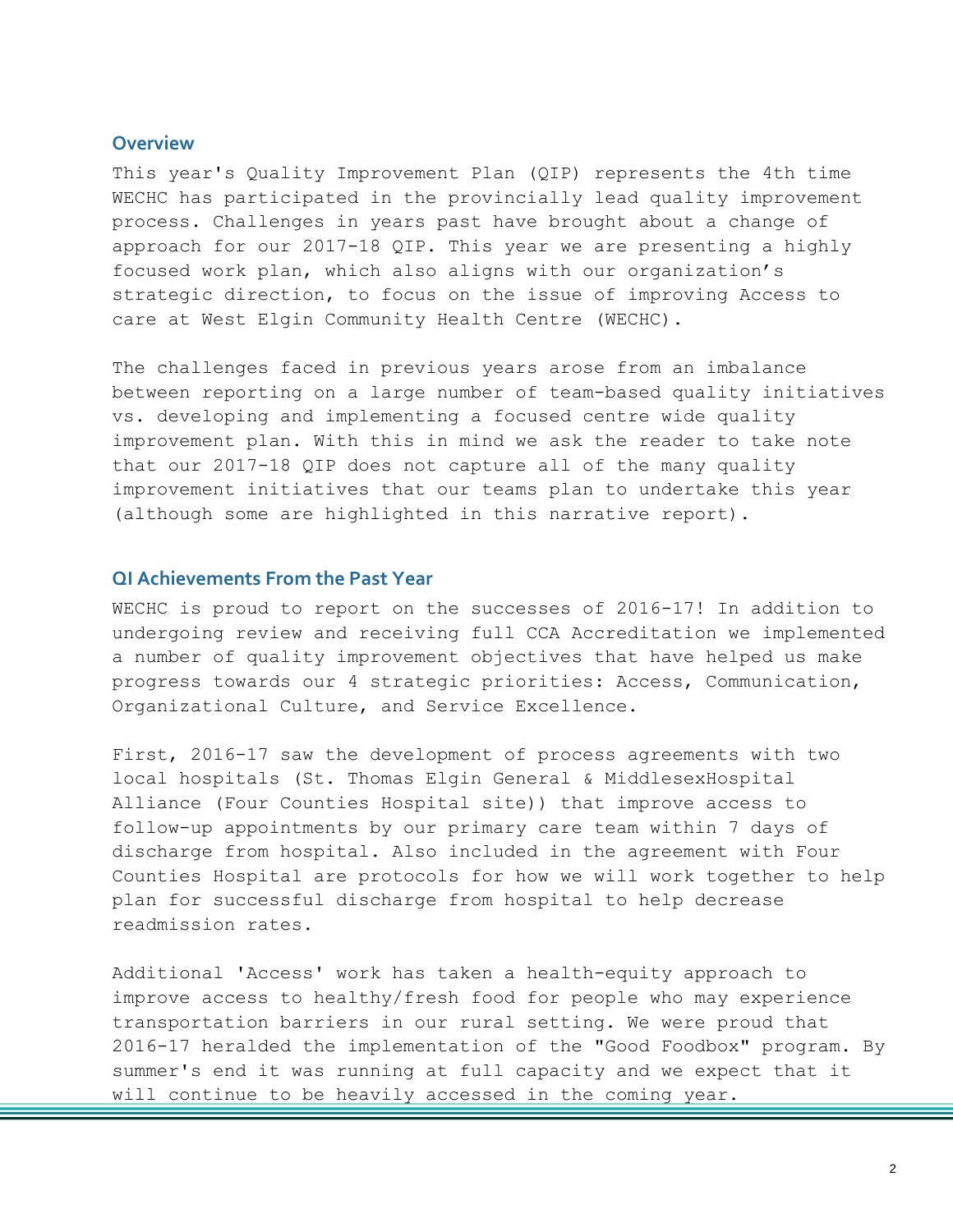#### **Overview**

This year's Quality Improvement Plan (QIP) represents the 4th time WECHC has participated in the provincially lead quality improvement process. Challenges in years past have brought about a change of approach for our 2017-18 QIP. This year we are presenting a highly focused work plan, which also aligns with our organization's strategic direction, to focus on the issue of improving Access to care at West Elgin Community Health Centre (WECHC).

The challenges faced in previous years arose from an imbalance between reporting on a large number of team-based quality initiatives vs. developing and implementing a focused centre wide quality improvement plan. With this in mind we ask the reader to take note that our 2017-18 QIP does not capture all of the many quality improvement initiatives that our teams plan to undertake this year (although some are highlighted in this narrative report).

### **QI Achievements From the Past Year**

WECHC is proud to report on the successes of 2016-17! In addition to undergoing review and receiving full CCA Accreditation we implemented a number of quality improvement objectives that have helped us make progress towards our 4 strategic priorities: Access, Communication, Organizational Culture, and Service Excellence.

First, 2016-17 saw the development of process agreements with two local hospitals (St. Thomas Elgin General & MiddlesexHospital Alliance (Four Counties Hospital site)) that improve access to follow-up appointments by our primary care team within 7 days of discharge from hospital. Also included in the agreement with Four Counties Hospital are protocols for how we will work together to help plan for successful discharge from hospital to help decrease readmission rates.

Additional 'Access' work has taken a health-equity approach to improve access to healthy/fresh food for people who may experience transportation barriers in our rural setting. We were proud that 2016-17 heralded the implementation of the "Good Foodbox" program. By summer's end it was running at full capacity and we expect that it will continue to be heavily accessed in the coming year.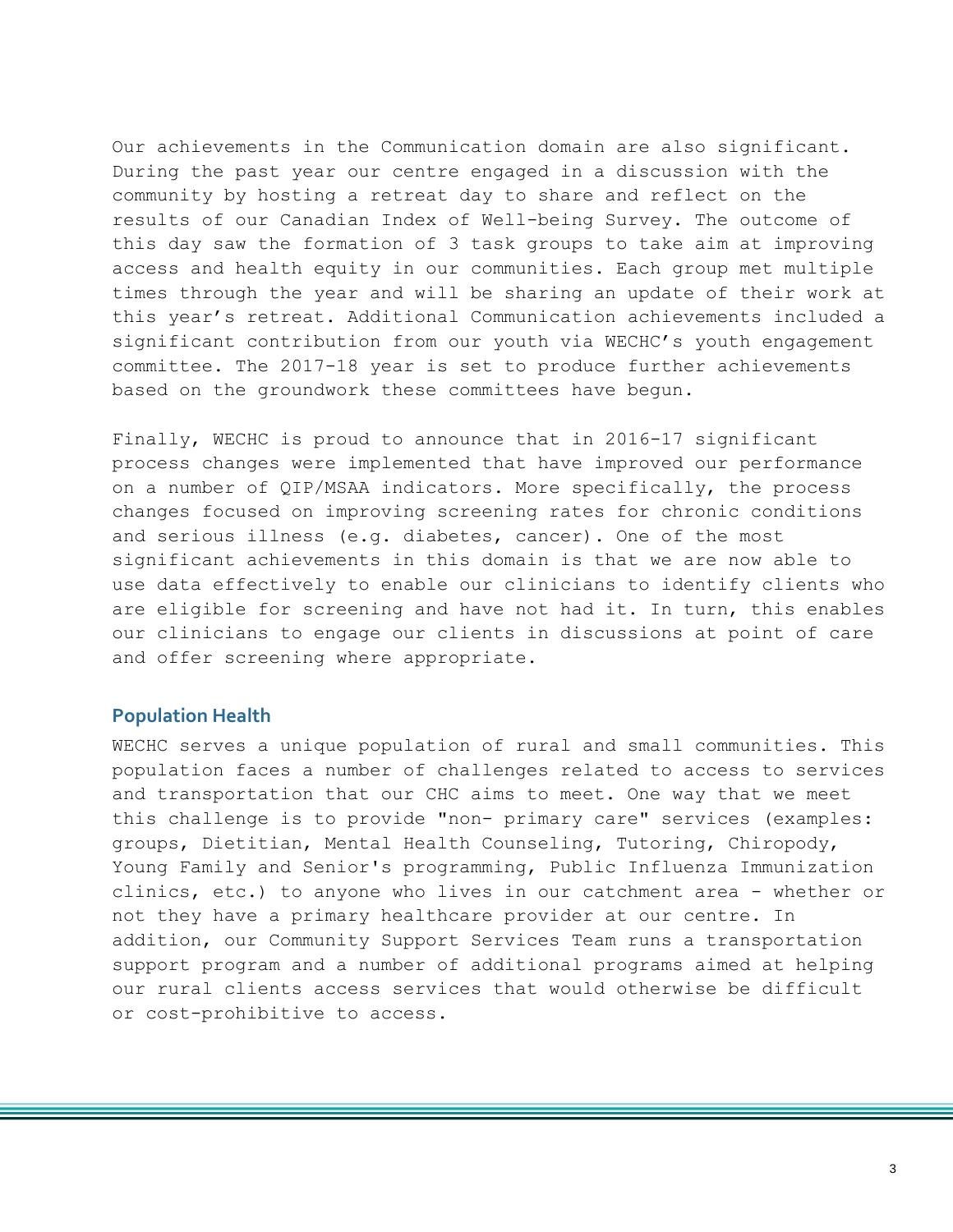Our achievements in the Communication domain are also significant. During the past year our centre engaged in a discussion with the community by hosting a retreat day to share and reflect on the results of our Canadian Index of Well-being Survey. The outcome of this day saw the formation of 3 task groups to take aim at improving access and health equity in our communities. Each group met multiple times through the year and will be sharing an update of their work at this year's retreat. Additional Communication achievements included a significant contribution from our youth via WECHC's youth engagement committee. The 2017-18 year is set to produce further achievements based on the groundwork these committees have begun.

Finally, WECHC is proud to announce that in 2016-17 significant process changes were implemented that have improved our performance on a number of QIP/MSAA indicators. More specifically, the process changes focused on improving screening rates for chronic conditions and serious illness (e.g. diabetes, cancer). One of the most significant achievements in this domain is that we are now able to use data effectively to enable our clinicians to identify clients who are eligible for screening and have not had it. In turn, this enables our clinicians to engage our clients in discussions at point of care and offer screening where appropriate.

#### **Population Health**

WECHC serves a unique population of rural and small communities. This population faces a number of challenges related to access to services and transportation that our CHC aims to meet. One way that we meet this challenge is to provide "non- primary care" services (examples: groups, Dietitian, Mental Health Counseling, Tutoring, Chiropody, Young Family and Senior's programming, Public Influenza Immunization clinics, etc.) to anyone who lives in our catchment area - whether or not they have a primary healthcare provider at our centre. In addition, our Community Support Services Team runs a transportation support program and a number of additional programs aimed at helping our rural clients access services that would otherwise be difficult or cost-prohibitive to access.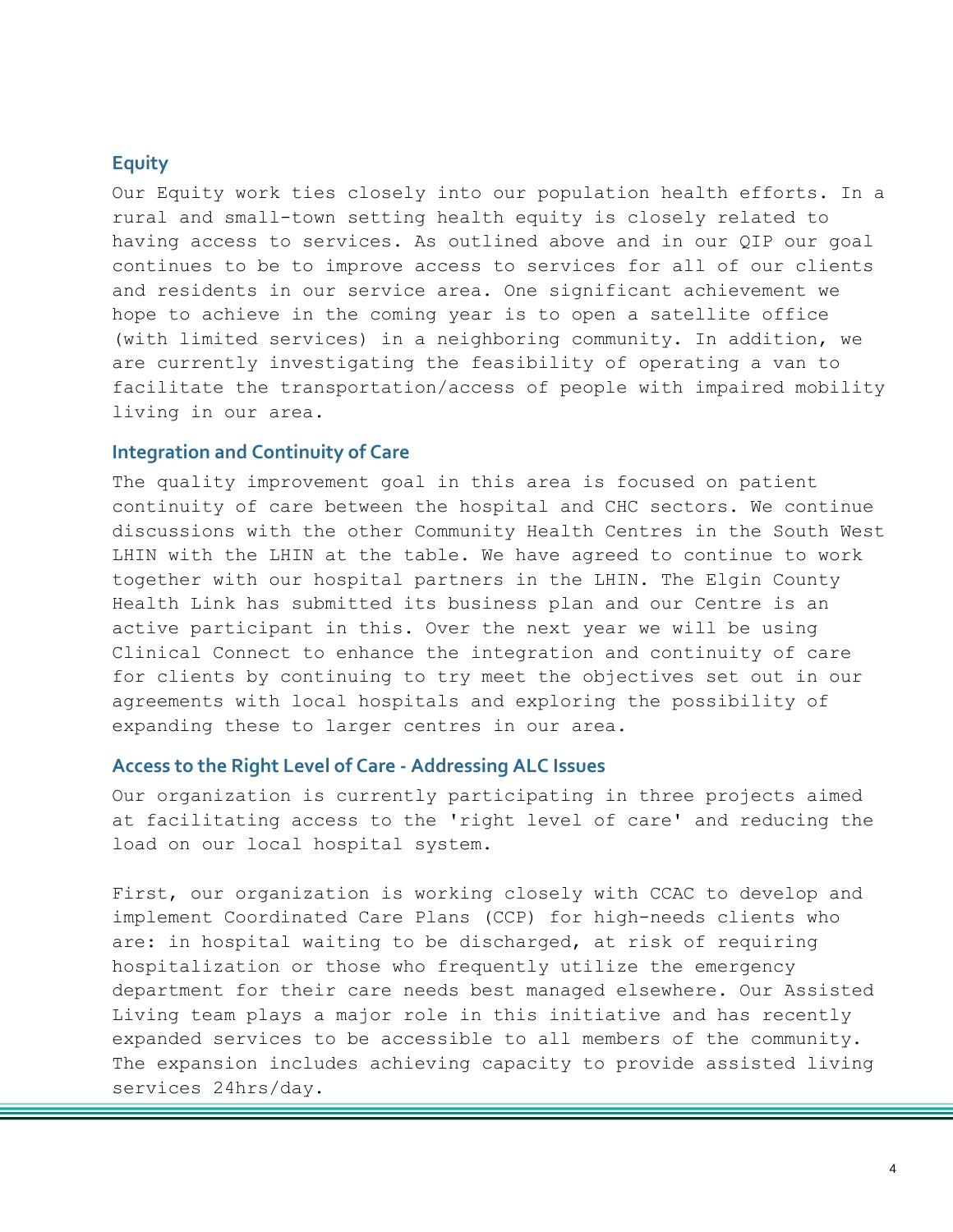#### **Equity**

Our Equity work ties closely into our population health efforts. In a rural and small-town setting health equity is closely related to having access to services. As outlined above and in our QIP our goal continues to be to improve access to services for all of our clients and residents in our service area. One significant achievement we hope to achieve in the coming year is to open a satellite office (with limited services) in a neighboring community. In addition, we are currently investigating the feasibility of operating a van to facilitate the transportation/access of people with impaired mobility living in our area.

#### **Integration and Continuity of Care**

The quality improvement goal in this area is focused on patient continuity of care between the hospital and CHC sectors. We continue discussions with the other Community Health Centres in the South West LHIN with the LHIN at the table. We have agreed to continue to work together with our hospital partners in the LHIN. The Elgin County Health Link has submitted its business plan and our Centre is an active participant in this. Over the next year we will be using Clinical Connect to enhance the integration and continuity of care for clients by continuing to try meet the objectives set out in our agreements with local hospitals and exploring the possibility of expanding these to larger centres in our area.

#### **Access to the Right Level of Care - Addressing ALC Issues**

Our organization is currently participating in three projects aimed at facilitating access to the 'right level of care' and reducing the load on our local hospital system.

First, our organization is working closely with CCAC to develop and implement Coordinated Care Plans (CCP) for high-needs clients who are: in hospital waiting to be discharged, at risk of requiring hospitalization or those who frequently utilize the emergency department for their care needs best managed elsewhere. Our Assisted Living team plays a major role in this initiative and has recently expanded services to be accessible to all members of the community. The expansion includes achieving capacity to provide assisted living services 24hrs/day.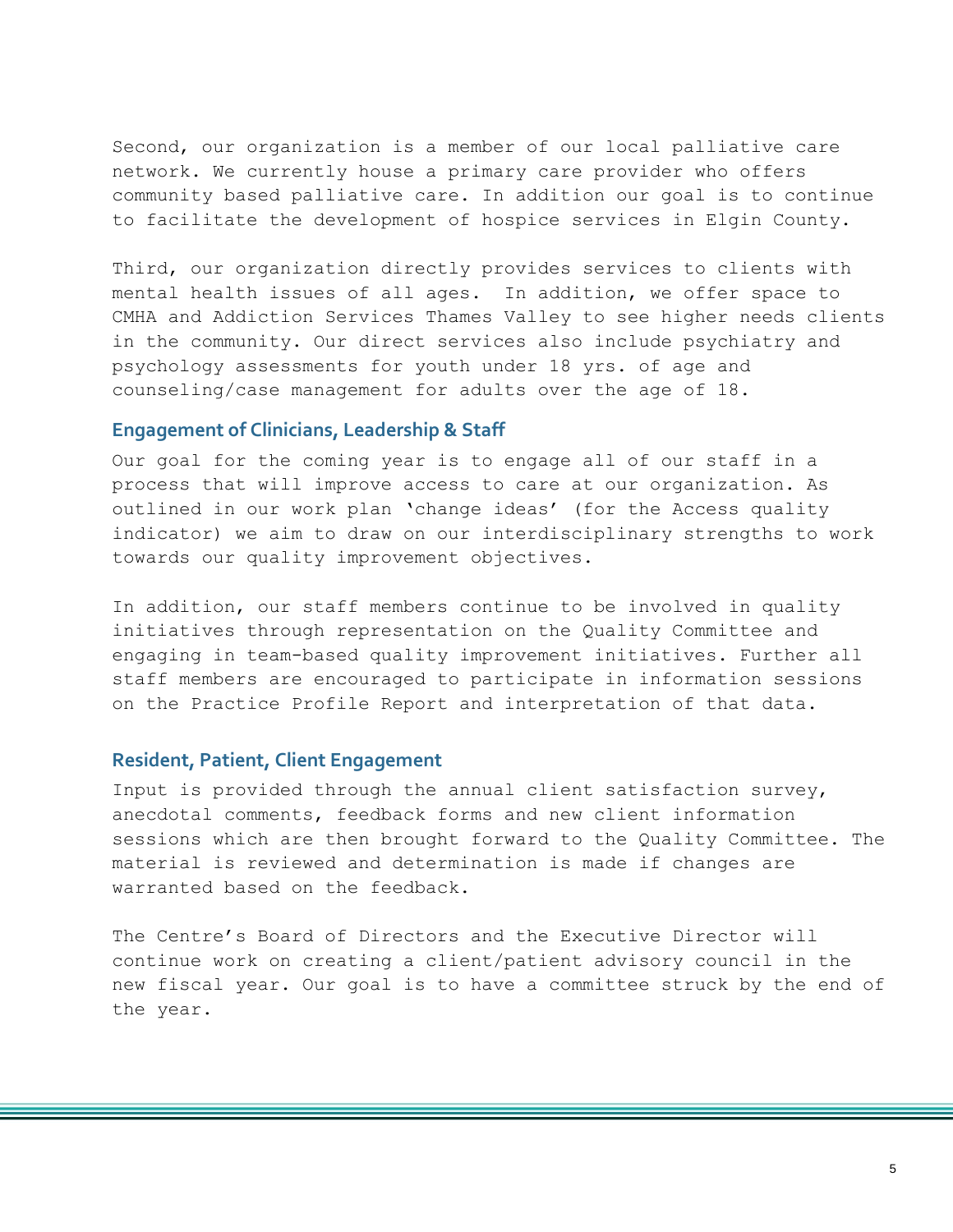Second, our organization is a member of our local palliative care network. We currently house a primary care provider who offers community based palliative care. In addition our goal is to continue to facilitate the development of hospice services in Elgin County.

Third, our organization directly provides services to clients with mental health issues of all ages. In addition, we offer space to CMHA and Addiction Services Thames Valley to see higher needs clients in the community. Our direct services also include psychiatry and psychology assessments for youth under 18 yrs. of age and counseling/case management for adults over the age of 18.

#### **Engagement of Clinicians, Leadership & Staff**

Our goal for the coming year is to engage all of our staff in a process that will improve access to care at our organization. As outlined in our work plan 'change ideas' (for the Access quality indicator) we aim to draw on our interdisciplinary strengths to work towards our quality improvement objectives.

In addition, our staff members continue to be involved in quality initiatives through representation on the Quality Committee and engaging in team-based quality improvement initiatives. Further all staff members are encouraged to participate in information sessions on the Practice Profile Report and interpretation of that data.

#### **Resident, Patient, Client Engagement**

Input is provided through the annual client satisfaction survey, anecdotal comments, feedback forms and new client information sessions which are then brought forward to the Quality Committee. The material is reviewed and determination is made if changes are warranted based on the feedback.

The Centre's Board of Directors and the Executive Director will continue work on creating a client/patient advisory council in the new fiscal year. Our goal is to have a committee struck by the end of the year.